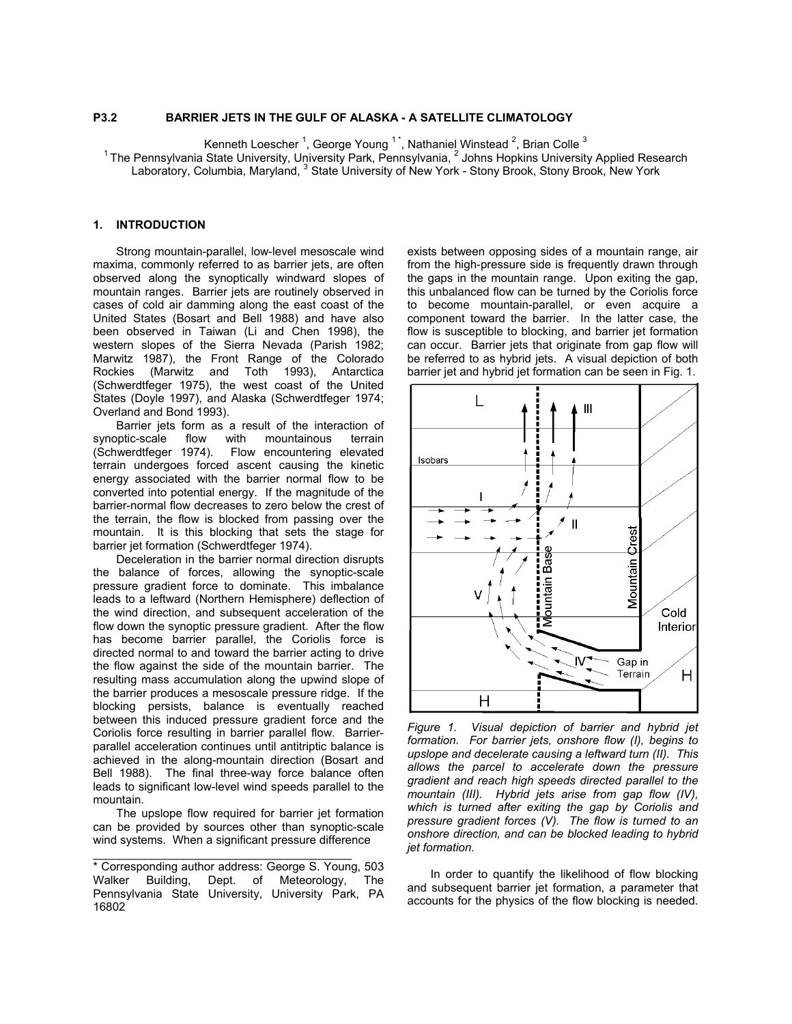# **P3.2 BARRIER JETS IN THE GULF OF ALASKA - A SATELLITE CLIMATOLOGY**

Kenneth Loescher <sup>1</sup>, George Young <sup>1\*</sup>, Nathaniel Winstead <sup>2</sup>, Brian Colle <sup>3</sup>

<sup>1</sup> The Pennsylvania State University, University Park, Pennsylvania, <sup>2</sup> Johns Hopkins University Applied Research

Laboratory, Columbia, Maryland, <sup>3</sup> State University of New York - Stony Brook, Stony Brook, New York

### **1. INTRODUCTION**

Strong mountain-parallel, low-level mesoscale wind maxima, commonly referred to as barrier jets, are often observed along the synoptically windward slopes of mountain ranges. Barrier jets are routinely observed in cases of cold air damming along the east coast of the United States (Bosart and Bell 1988) and have also been observed in Taiwan (Li and Chen 1998), the western slopes of the Sierra Nevada (Parish 1982; Marwitz 1987), the Front Range of the Colorado Rockies (Marwitz and Toth 1993), Antarctica (Schwerdtfeger 1975), the west coast of the United States (Doyle 1997), and Alaska (Schwerdtfeger 1974; Overland and Bond 1993).

Barrier jets form as a result of the interaction of<br>pptic-scale flow with mountainous terrain synoptic-scale flow with mountainous terrain (Schwerdtfeger 1974). Flow encountering elevated terrain undergoes forced ascent causing the kinetic energy associated with the barrier normal flow to be converted into potential energy. If the magnitude of the barrier-normal flow decreases to zero below the crest of the terrain, the flow is blocked from passing over the mountain. It is this blocking that sets the stage for barrier jet formation (Schwerdtfeger 1974).

Deceleration in the barrier normal direction disrupts the balance of forces, allowing the synoptic-scale pressure gradient force to dominate. This imbalance leads to a leftward (Northern Hemisphere) deflection of the wind direction, and subsequent acceleration of the flow down the synoptic pressure gradient. After the flow has become barrier parallel, the Coriolis force is directed normal to and toward the barrier acting to drive the flow against the side of the mountain barrier. The resulting mass accumulation along the upwind slope of the barrier produces a mesoscale pressure ridge. If the blocking persists, balance is eventually reached between this induced pressure gradient force and the Coriolis force resulting in barrier parallel flow. Barrierparallel acceleration continues until antitriptic balance is achieved in the along-mountain direction (Bosart and Bell 1988). The final three-way force balance often leads to significant low-level wind speeds parallel to the mountain.

The upslope flow required for barrier jet formation can be provided by sources other than synoptic-scale wind systems. When a significant pressure difference

\_\_\_\_\_\_\_\_\_\_\_\_\_\_\_\_\_\_\_\_\_\_\_\_\_\_\_\_\_\_\_\_\_\_\_\_\_\_\_\_

exists between opposing sides of a mountain range, air from the high-pressure side is frequently drawn through the gaps in the mountain range. Upon exiting the gap, this unbalanced flow can be turned by the Coriolis force to become mountain-parallel, or even acquire a component toward the barrier. In the latter case, the flow is susceptible to blocking, and barrier jet formation can occur. Barrier jets that originate from gap flow will be referred to as hybrid jets. A visual depiction of both barrier jet and hybrid jet formation can be seen in Fig. 1.



*Figure 1. Visual depiction of barrier and hybrid jet formation. For barrier jets, onshore flow (I), begins to upslope and decelerate causing a leftward turn (II). This allows the parcel to accelerate down the pressure gradient and reach high speeds directed parallel to the mountain (III). Hybrid jets arise from gap flow (IV), which is turned after exiting the gap by Coriolis and pressure gradient forces (V). The flow is turned to an onshore direction, and can be blocked leading to hybrid jet formation.* 

In order to quantify the likelihood of flow blocking and subsequent barrier jet formation, a parameter that accounts for the physics of the flow blocking is needed.

<sup>\*</sup> Corresponding author address: George S. Young, 503 Walker Building, Dept. of Meteorology, The Pennsylvania State University, University Park, PA 16802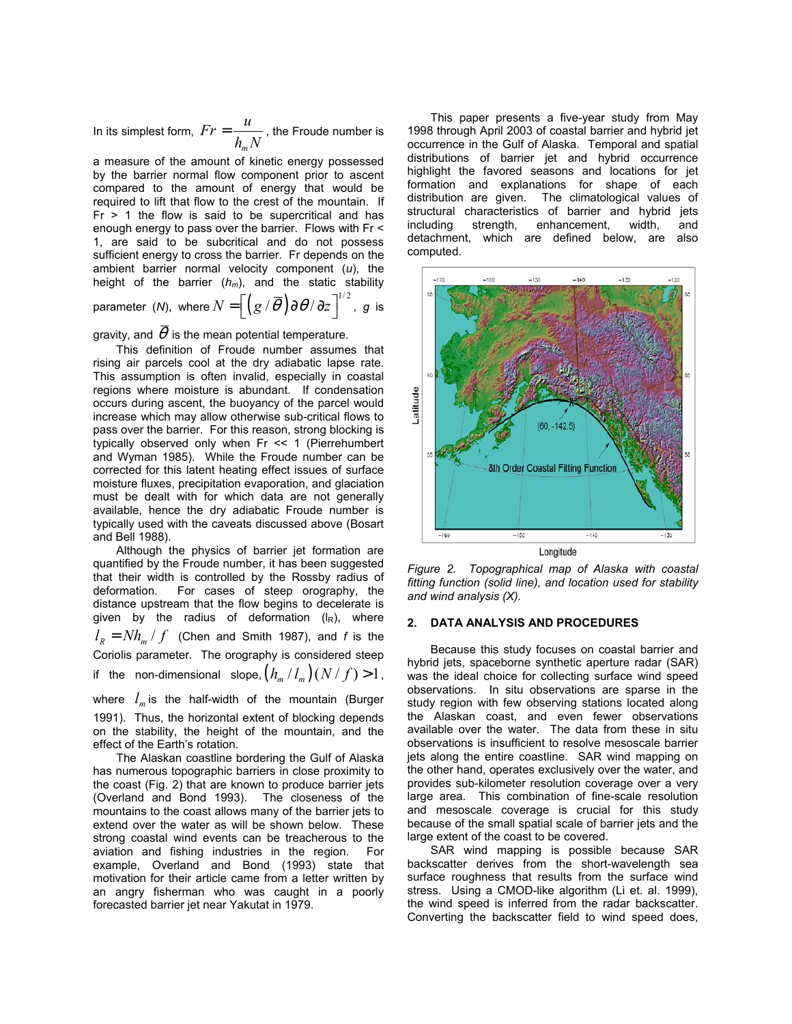In its simplest form, *m*  $Fr = \displaystyle{\frac{u}{h_m N}}$  , the Froude number is

a measure of the amount of kinetic energy possessed by the barrier normal flow component prior to ascent compared to the amount of energy that would be required to lift that flow to the crest of the mountain. If  $Fr$  > 1 the flow is said to be supercritical and has enough energy to pass over the barrier. Flows with Fr < 1, are said to be subcritical and do not possess sufficient energy to cross the barrier. Fr depends on the ambient barrier normal velocity component (*u*), the height of the barrier (*hm*), and the static stability parameter (*N*), where  $N = \left[ \left( g \, / \, \overline{\theta} \, \right) \! \partial \theta / \, \partial z \, \right]^{1/2}$ , g is

gravity, and  $\overline{\theta}$  is the mean potential temperature.

This definition of Froude number assumes that rising air parcels cool at the dry adiabatic lapse rate. This assumption is often invalid, especially in coastal regions where moisture is abundant. If condensation occurs during ascent, the buoyancy of the parcel would increase which may allow otherwise sub-critical flows to pass over the barrier. For this reason, strong blocking is typically observed only when Fr << 1 (Pierrehumbert and Wyman 1985). While the Froude number can be corrected for this latent heating effect issues of surface moisture fluxes, precipitation evaporation, and glaciation must be dealt with for which data are not generally available, hence the dry adiabatic Froude number is typically used with the caveats discussed above (Bosart and Bell 1988).

Although the physics of barrier jet formation are quantified by the Froude number, it has been suggested that their width is controlled by the Rossby radius of deformation. For cases of steep orography, the distance upstream that the flow begins to decelerate is given by the radius of deformation  $(|R|)$ , where  $l_R = Nh_m / f$  (Chen and Smith 1987), and *f* is the Coriolis parameter. The orography is considered steep if the non-dimensional slope,  $\left( h_m / l_m \right)$   $(N / f)$  > 1,

where  $l_m$  is the half-width of the mountain (Burger 1991). Thus, the horizontal extent of blocking depends on the stability, the height of the mountain, and the effect of the Earth's rotation.

The Alaskan coastline bordering the Gulf of Alaska has numerous topographic barriers in close proximity to the coast (Fig. 2) that are known to produce barrier jets (Overland and Bond 1993). The closeness of the mountains to the coast allows many of the barrier jets to extend over the water as will be shown below. These strong coastal wind events can be treacherous to the aviation and fishing industries in the region. For example, Overland and Bond (1993) state that motivation for their article came from a letter written by an angry fisherman who was caught in a poorly forecasted barrier jet near Yakutat in 1979.

This paper presents a five-year study from May 1998 through April 2003 of coastal barrier and hybrid jet occurrence in the Gulf of Alaska. Temporal and spatial distributions of barrier jet and hybrid occurrence highlight the favored seasons and locations for jet formation and explanations for shape of each distribution are given. The climatological values of structural characteristics of barrier and hybrid jets including strength, enhancement, width, and detachment, which are defined below, are also computed.



*Figure 2. Topographical map of Alaska with coastal fitting function (solid line), and location used for stability and wind analysis (X).* 

#### **2. DATA ANALYSIS AND PROCEDURES**

Because this study focuses on coastal barrier and hybrid jets, spaceborne synthetic aperture radar (SAR) was the ideal choice for collecting surface wind speed observations. In situ observations are sparse in the study region with few observing stations located along the Alaskan coast, and even fewer observations available over the water. The data from these in situ observations is insufficient to resolve mesoscale barrier jets along the entire coastline. SAR wind mapping on the other hand, operates exclusively over the water, and provides sub-kilometer resolution coverage over a very large area. This combination of fine-scale resolution and mesoscale coverage is crucial for this study because of the small spatial scale of barrier jets and the large extent of the coast to be covered.

SAR wind mapping is possible because SAR backscatter derives from the short-wavelength sea surface roughness that results from the surface wind stress. Using a CMOD-like algorithm (Li et. al. 1999), the wind speed is inferred from the radar backscatter. Converting the backscatter field to wind speed does,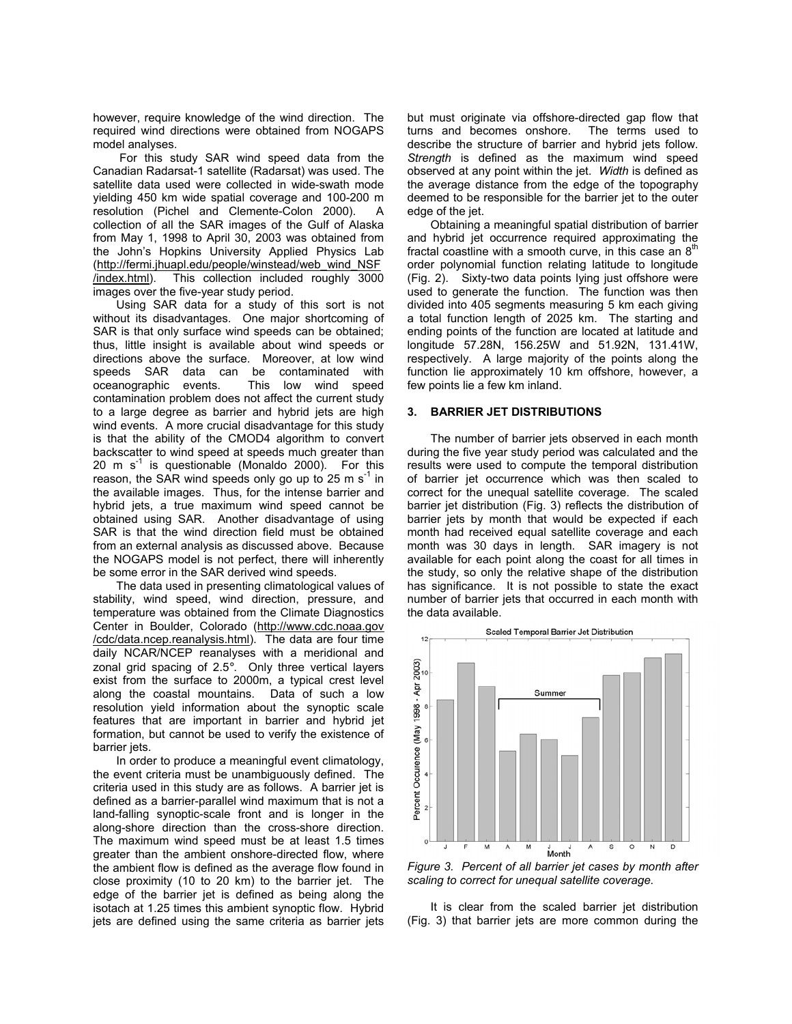however, require knowledge of the wind direction. The required wind directions were obtained from NOGAPS model analyses.

For this study SAR wind speed data from the Canadian Radarsat-1 satellite (Radarsat) was used. The satellite data used were collected in wide-swath mode yielding 450 km wide spatial coverage and 100-200 m resolution (Pichel and Clemente-Colon 2000). A collection of all the SAR images of the Gulf of Alaska from May 1, 1998 to April 30, 2003 was obtained from the John's Hopkins University Applied Physics Lab (http://fermi.jhuapl.edu/people/winstead/web\_wind\_NSF /index.html). This collection included roughly 3000 images over the five-year study period.

Using SAR data for a study of this sort is not without its disadvantages. One major shortcoming of SAR is that only surface wind speeds can be obtained; thus, little insight is available about wind speeds or directions above the surface. Moreover, at low wind speeds SAR data can be contaminated with oceanographic events. This low wind speed contamination problem does not affect the current study to a large degree as barrier and hybrid jets are high wind events. A more crucial disadvantage for this study is that the ability of the CMOD4 algorithm to convert backscatter to wind speed at speeds much greater than 20 m  $s^{-1}$  is questionable (Monaldo 2000). For this reason, the SAR wind speeds only go up to 25 m  $s^{-1}$  in the available images. Thus, for the intense barrier and hybrid jets, a true maximum wind speed cannot be obtained using SAR. Another disadvantage of using SAR is that the wind direction field must be obtained from an external analysis as discussed above. Because the NOGAPS model is not perfect, there will inherently be some error in the SAR derived wind speeds.

The data used in presenting climatological values of stability, wind speed, wind direction, pressure, and temperature was obtained from the Climate Diagnostics Center in Boulder, Colorado (http://www.cdc.noaa.gov /cdc/data.ncep.reanalysis.html). The data are four time daily NCAR/NCEP reanalyses with a meridional and zonal grid spacing of 2.5°. Only three vertical layers exist from the surface to 2000m, a typical crest level along the coastal mountains. Data of such a low resolution yield information about the synoptic scale features that are important in barrier and hybrid jet formation, but cannot be used to verify the existence of barrier jets.

In order to produce a meaningful event climatology, the event criteria must be unambiguously defined. The criteria used in this study are as follows. A barrier jet is defined as a barrier-parallel wind maximum that is not a land-falling synoptic-scale front and is longer in the along-shore direction than the cross-shore direction. The maximum wind speed must be at least 1.5 times greater than the ambient onshore-directed flow, where the ambient flow is defined as the average flow found in close proximity (10 to 20 km) to the barrier jet. The edge of the barrier jet is defined as being along the isotach at 1.25 times this ambient synoptic flow. Hybrid jets are defined using the same criteria as barrier jets but must originate via offshore-directed gap flow that turns and becomes onshore. The terms used to describe the structure of barrier and hybrid jets follow. *Strength* is defined as the maximum wind speed observed at any point within the jet. *Width* is defined as the average distance from the edge of the topography deemed to be responsible for the barrier jet to the outer edge of the jet.

Obtaining a meaningful spatial distribution of barrier and hybrid jet occurrence required approximating the fractal coastline with a smooth curve, in this case an  $8<sup>th</sup>$ order polynomial function relating latitude to longitude (Fig. 2). Sixty-two data points lying just offshore were used to generate the function. The function was then divided into 405 segments measuring 5 km each giving a total function length of 2025 km. The starting and ending points of the function are located at latitude and longitude 57.28N, 156.25W and 51.92N, 131.41W, respectively. A large majority of the points along the function lie approximately 10 km offshore, however, a few points lie a few km inland.

#### **3. BARRIER JET DISTRIBUTIONS**

The number of barrier jets observed in each month during the five year study period was calculated and the results were used to compute the temporal distribution of barrier jet occurrence which was then scaled to correct for the unequal satellite coverage. The scaled barrier jet distribution (Fig. 3) reflects the distribution of barrier jets by month that would be expected if each month had received equal satellite coverage and each month was 30 days in length. SAR imagery is not available for each point along the coast for all times in the study, so only the relative shape of the distribution has significance. It is not possible to state the exact number of barrier jets that occurred in each month with the data available.



*Figure 3. Percent of all barrier jet cases by month after scaling to correct for unequal satellite coverage.* 

It is clear from the scaled barrier jet distribution (Fig. 3) that barrier jets are more common during the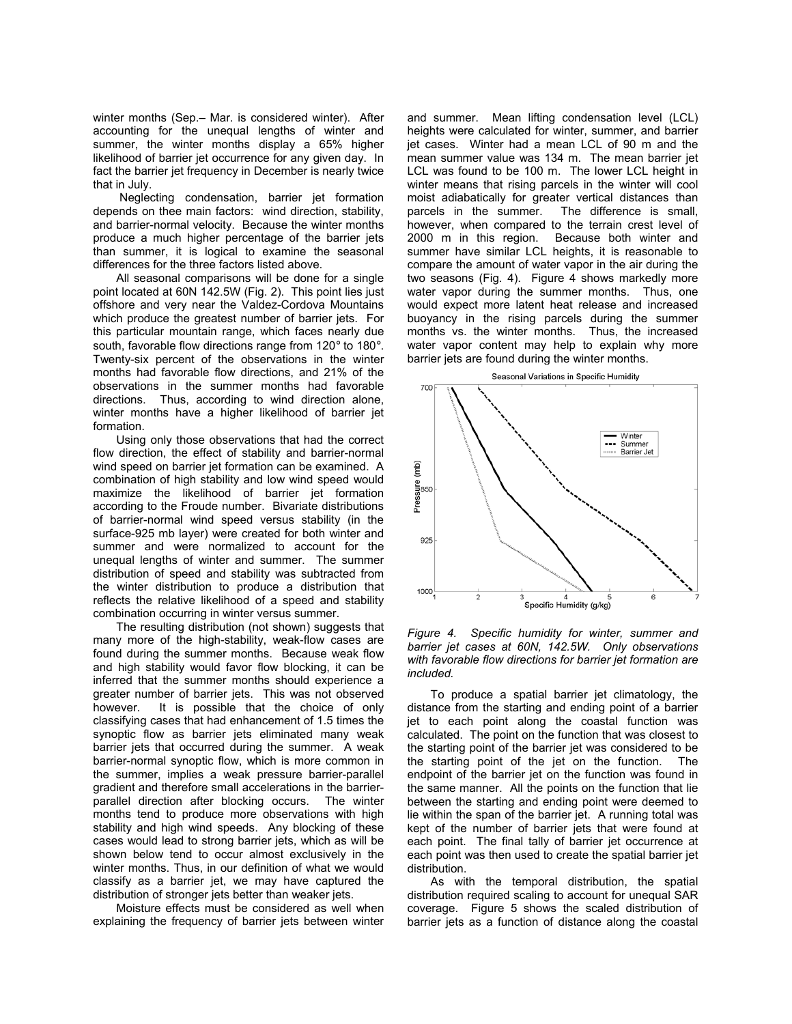winter months (Sep.– Mar. is considered winter). After accounting for the unequal lengths of winter and summer, the winter months display a 65% higher likelihood of barrier jet occurrence for any given day. In fact the barrier jet frequency in December is nearly twice that in July.

Neglecting condensation, barrier jet formation depends on thee main factors: wind direction, stability, and barrier-normal velocity. Because the winter months produce a much higher percentage of the barrier jets than summer, it is logical to examine the seasonal differences for the three factors listed above.

All seasonal comparisons will be done for a single point located at 60N 142.5W (Fig. 2). This point lies just offshore and very near the Valdez-Cordova Mountains which produce the greatest number of barrier jets. For this particular mountain range, which faces nearly due south, favorable flow directions range from 120° to 180°. Twenty-six percent of the observations in the winter months had favorable flow directions, and 21% of the observations in the summer months had favorable directions. Thus, according to wind direction alone, winter months have a higher likelihood of barrier jet formation.

Using only those observations that had the correct flow direction, the effect of stability and barrier-normal wind speed on barrier jet formation can be examined. A combination of high stability and low wind speed would maximize the likelihood of barrier jet formation according to the Froude number. Bivariate distributions of barrier-normal wind speed versus stability (in the surface-925 mb layer) were created for both winter and summer and were normalized to account for the unequal lengths of winter and summer. The summer distribution of speed and stability was subtracted from the winter distribution to produce a distribution that reflects the relative likelihood of a speed and stability combination occurring in winter versus summer.

The resulting distribution (not shown) suggests that many more of the high-stability, weak-flow cases are found during the summer months. Because weak flow and high stability would favor flow blocking, it can be inferred that the summer months should experience a greater number of barrier jets. This was not observed however. It is possible that the choice of only classifying cases that had enhancement of 1.5 times the synoptic flow as barrier jets eliminated many weak barrier jets that occurred during the summer. A weak barrier-normal synoptic flow, which is more common in the summer, implies a weak pressure barrier-parallel gradient and therefore small accelerations in the barrierparallel direction after blocking occurs. The winter months tend to produce more observations with high stability and high wind speeds. Any blocking of these cases would lead to strong barrier jets, which as will be shown below tend to occur almost exclusively in the winter months. Thus, in our definition of what we would classify as a barrier jet, we may have captured the distribution of stronger jets better than weaker jets.

Moisture effects must be considered as well when explaining the frequency of barrier jets between winter

and summer. Mean lifting condensation level (LCL) heights were calculated for winter, summer, and barrier jet cases. Winter had a mean LCL of 90 m and the mean summer value was 134 m. The mean barrier jet LCL was found to be 100 m. The lower LCL height in winter means that rising parcels in the winter will cool moist adiabatically for greater vertical distances than parcels in the summer. The difference is small, however, when compared to the terrain crest level of 2000 m in this region. Because both winter and summer have similar LCL heights, it is reasonable to compare the amount of water vapor in the air during the two seasons (Fig. 4). Figure 4 shows markedly more water vapor during the summer months. Thus, one would expect more latent heat release and increased buoyancy in the rising parcels during the summer months vs. the winter months. Thus, the increased water vapor content may help to explain why more barrier jets are found during the winter months.



*Figure 4. Specific humidity for winter, summer and barrier jet cases at 60N, 142.5W. Only observations with favorable flow directions for barrier jet formation are included.* 

To produce a spatial barrier jet climatology, the distance from the starting and ending point of a barrier jet to each point along the coastal function was calculated. The point on the function that was closest to the starting point of the barrier jet was considered to be the starting point of the jet on the function. The endpoint of the barrier jet on the function was found in the same manner. All the points on the function that lie between the starting and ending point were deemed to lie within the span of the barrier jet. A running total was kept of the number of barrier jets that were found at each point. The final tally of barrier jet occurrence at each point was then used to create the spatial barrier jet distribution.

As with the temporal distribution, the spatial distribution required scaling to account for unequal SAR coverage. Figure 5 shows the scaled distribution of barrier jets as a function of distance along the coastal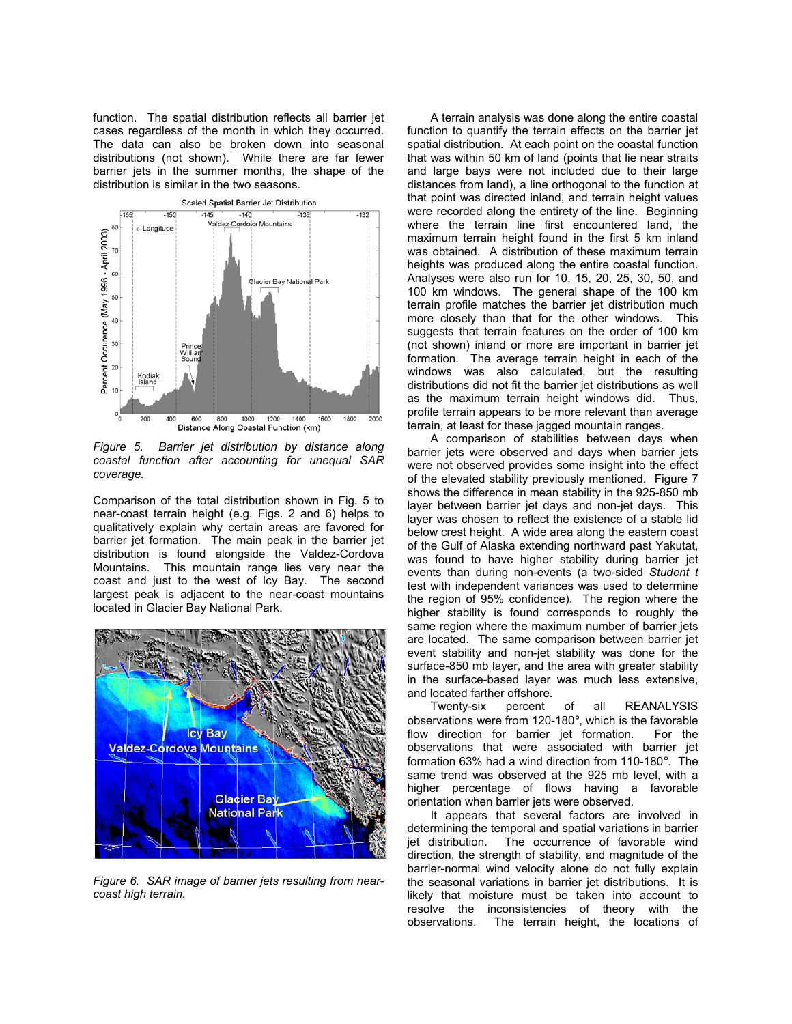function. The spatial distribution reflects all barrier jet cases regardless of the month in which they occurred. The data can also be broken down into seasonal distributions (not shown). While there are far fewer barrier jets in the summer months, the shape of the distribution is similar in the two seasons.



*Figure 5. Barrier jet distribution by distance along coastal function after accounting for unequal SAR coverage.* 

Comparison of the total distribution shown in Fig. 5 to near-coast terrain height (e.g. Figs. 2 and 6) helps to qualitatively explain why certain areas are favored for barrier jet formation. The main peak in the barrier jet distribution is found alongside the Valdez-Cordova Mountains. This mountain range lies very near the coast and just to the west of Icy Bay. The second largest peak is adjacent to the near-coast mountains located in Glacier Bay National Park.



*Figure 6. SAR image of barrier jets resulting from nearcoast high terrain.*

A terrain analysis was done along the entire coastal function to quantify the terrain effects on the barrier jet spatial distribution. At each point on the coastal function that was within 50 km of land (points that lie near straits and large bays were not included due to their large distances from land), a line orthogonal to the function at that point was directed inland, and terrain height values were recorded along the entirety of the line. Beginning where the terrain line first encountered land, the maximum terrain height found in the first 5 km inland was obtained. A distribution of these maximum terrain heights was produced along the entire coastal function. Analyses were also run for 10, 15, 20, 25, 30, 50, and 100 km windows. The general shape of the 100 km terrain profile matches the barrier jet distribution much more closely than that for the other windows. This suggests that terrain features on the order of 100 km (not shown) inland or more are important in barrier jet formation. The average terrain height in each of the windows was also calculated, but the resulting distributions did not fit the barrier jet distributions as well as the maximum terrain height windows did. Thus, profile terrain appears to be more relevant than average terrain, at least for these jagged mountain ranges.

A comparison of stabilities between days when barrier jets were observed and days when barrier jets were not observed provides some insight into the effect of the elevated stability previously mentioned. Figure 7 shows the difference in mean stability in the 925-850 mb layer between barrier jet days and non-jet days. This layer was chosen to reflect the existence of a stable lid below crest height. A wide area along the eastern coast of the Gulf of Alaska extending northward past Yakutat, was found to have higher stability during barrier jet events than during non-events (a two-sided *Student t* test with independent variances was used to determine the region of 95% confidence). The region where the higher stability is found corresponds to roughly the same region where the maximum number of barrier jets are located. The same comparison between barrier jet event stability and non-jet stability was done for the surface-850 mb layer, and the area with greater stability in the surface-based layer was much less extensive, and located farther offshore.

Twenty-six percent of all REANALYSIS observations were from 120-180°, which is the favorable flow direction for barrier jet formation. For the observations that were associated with barrier jet formation 63% had a wind direction from 110-180°. The same trend was observed at the 925 mb level, with a higher percentage of flows having a favorable orientation when barrier jets were observed.

It appears that several factors are involved in determining the temporal and spatial variations in barrier jet distribution. The occurrence of favorable wind direction, the strength of stability, and magnitude of the barrier-normal wind velocity alone do not fully explain the seasonal variations in barrier jet distributions. It is likely that moisture must be taken into account to resolve the inconsistencies of theory with the observations. The terrain height, the locations of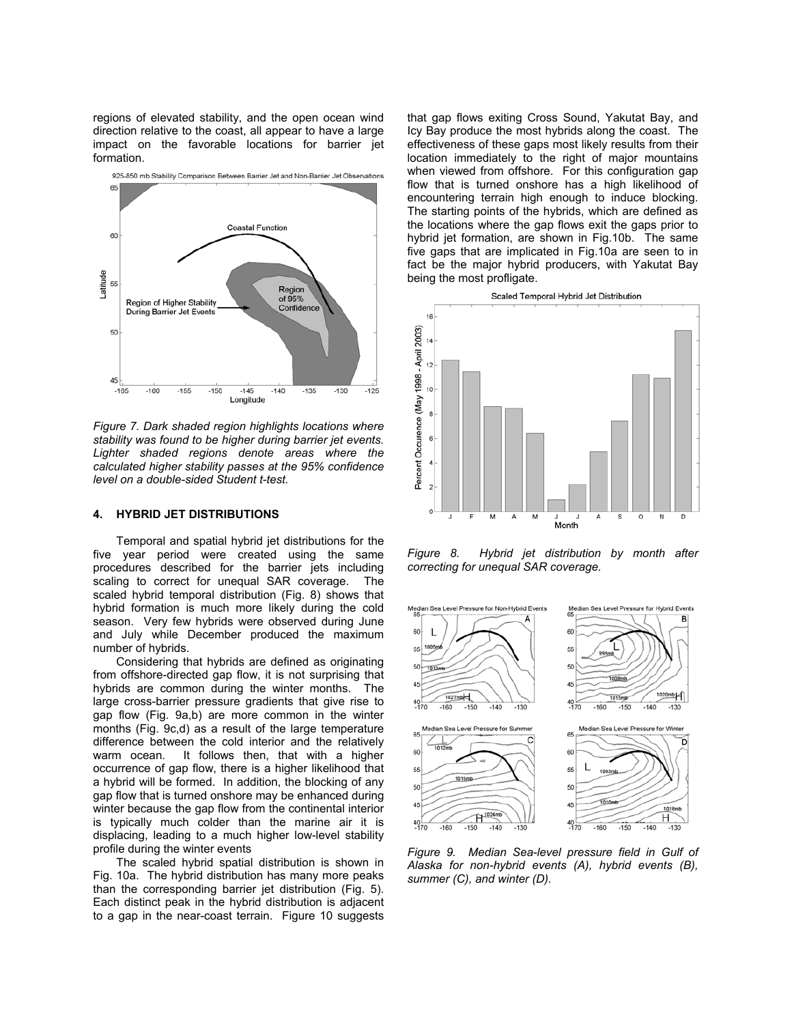regions of elevated stability, and the open ocean wind direction relative to the coast, all appear to have a large impact on the favorable locations for barrier jet formation.



*Figure 7. Dark shaded region highlights locations where stability was found to be higher during barrier jet events. Lighter shaded regions denote areas where the calculated higher stability passes at the 95% confidence level on a double-sided Student t-test.* 

### **4. HYBRID JET DISTRIBUTIONS**

Temporal and spatial hybrid jet distributions for the five year period were created using the same procedures described for the barrier jets including scaling to correct for unequal SAR coverage. The scaled hybrid temporal distribution (Fig. 8) shows that hybrid formation is much more likely during the cold season. Very few hybrids were observed during June and July while December produced the maximum number of hybrids.

Considering that hybrids are defined as originating from offshore-directed gap flow, it is not surprising that hybrids are common during the winter months. The large cross-barrier pressure gradients that give rise to gap flow (Fig. 9a,b) are more common in the winter months (Fig. 9c,d) as a result of the large temperature difference between the cold interior and the relatively warm ocean. It follows then, that with a higher occurrence of gap flow, there is a higher likelihood that a hybrid will be formed. In addition, the blocking of any gap flow that is turned onshore may be enhanced during winter because the gap flow from the continental interior is typically much colder than the marine air it is displacing, leading to a much higher low-level stability profile during the winter events

The scaled hybrid spatial distribution is shown in Fig. 10a. The hybrid distribution has many more peaks than the corresponding barrier jet distribution (Fig. 5). Each distinct peak in the hybrid distribution is adjacent to a gap in the near-coast terrain. Figure 10 suggests

that gap flows exiting Cross Sound, Yakutat Bay, and Icy Bay produce the most hybrids along the coast. The effectiveness of these gaps most likely results from their location immediately to the right of major mountains when viewed from offshore. For this configuration gap flow that is turned onshore has a high likelihood of encountering terrain high enough to induce blocking. The starting points of the hybrids, which are defined as the locations where the gap flows exit the gaps prior to hybrid jet formation, are shown in Fig.10b. The same five gaps that are implicated in Fig.10a are seen to in fact be the major hybrid producers, with Yakutat Bay being the most profligate.



*Figure 8. Hybrid jet distribution by month after correcting for unequal SAR coverage.*



*Figure 9. Median Sea-level pressure field in Gulf of Alaska for non-hybrid events (A), hybrid events (B), summer (C), and winter (D).*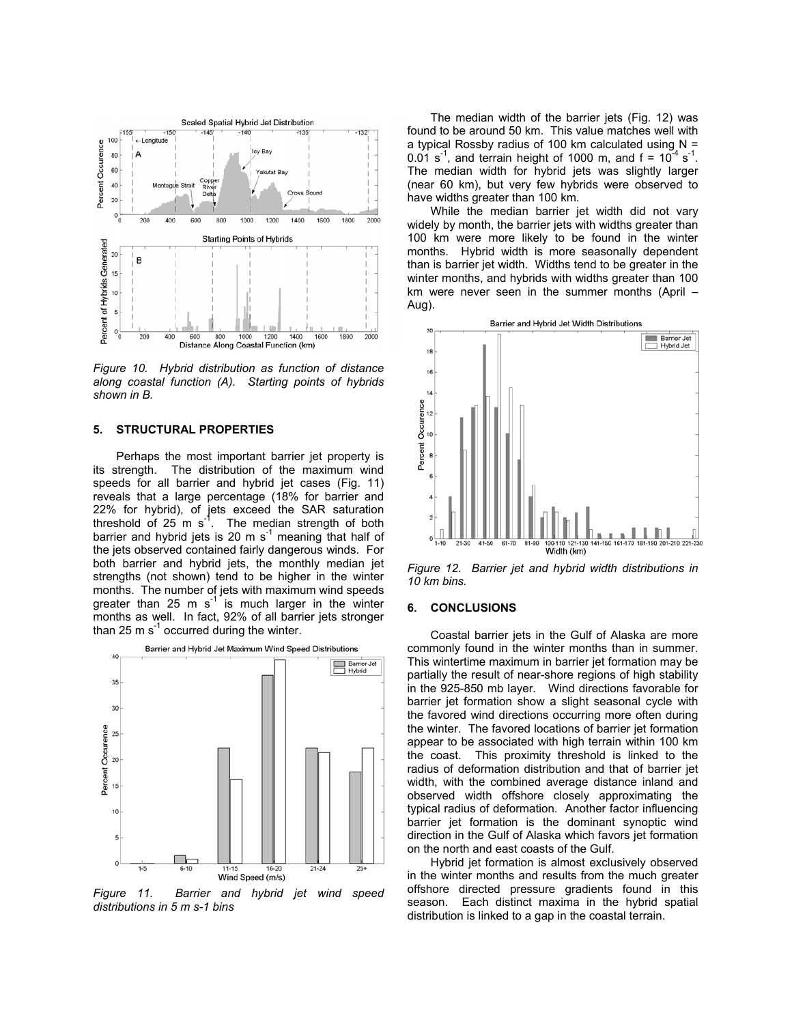

*Figure 10. Hybrid distribution as function of distance along coastal function (A). Starting points of hybrids shown in B.* 

### **5. STRUCTURAL PROPERTIES**

Perhaps the most important barrier jet property is its strength. The distribution of the maximum wind speeds for all barrier and hybrid jet cases (Fig. 11) reveals that a large percentage (18% for barrier and 22% for hybrid), of jets exceed the SAR saturation threshold of  $25 \text{ m s}^{-1}$ . The median strength of both barrier and hybrid jets is 20 m  $s^{-1}$  meaning that half of the jets observed contained fairly dangerous winds. For both barrier and hybrid jets, the monthly median jet strengths (not shown) tend to be higher in the winter months. The number of jets with maximum wind speeds greater than 25 m  $s^{-1}$  is much larger in the winter months as well. In fact, 92% of all barrier jets stronger than 25 m  $s^{-1}$  occurred during the winter.



*Figure 11. Barrier and hybrid jet wind speed distributions in 5 m s-1 bins* 

The median width of the barrier jets (Fig. 12) was found to be around 50 km. This value matches well with a typical Rossby radius of 100 km calculated using  $N =$ 0.01 s<sup>-1</sup>, and terrain height of 1000 m, and  $f = 10^{-4}$  s<sup>-1</sup>. The median width for hybrid jets was slightly larger (near 60 km), but very few hybrids were observed to have widths greater than 100 km.

While the median barrier jet width did not vary widely by month, the barrier jets with widths greater than 100 km were more likely to be found in the winter months. Hybrid width is more seasonally dependent than is barrier jet width. Widths tend to be greater in the winter months, and hybrids with widths greater than 100 km were never seen in the summer months (April  $-$ Aug).



*Figure 12. Barrier jet and hybrid width distributions in 10 km bins.* 

# **6. CONCLUSIONS**

Coastal barrier jets in the Gulf of Alaska are more commonly found in the winter months than in summer. This wintertime maximum in barrier jet formation may be partially the result of near-shore regions of high stability in the 925-850 mb layer. Wind directions favorable for barrier jet formation show a slight seasonal cycle with the favored wind directions occurring more often during the winter. The favored locations of barrier jet formation appear to be associated with high terrain within 100 km the coast. This proximity threshold is linked to the radius of deformation distribution and that of barrier jet width, with the combined average distance inland and observed width offshore closely approximating the typical radius of deformation. Another factor influencing barrier jet formation is the dominant synoptic wind direction in the Gulf of Alaska which favors jet formation on the north and east coasts of the Gulf.

Hybrid jet formation is almost exclusively observed in the winter months and results from the much greater offshore directed pressure gradients found in this season. Each distinct maxima in the hybrid spatial distribution is linked to a gap in the coastal terrain.